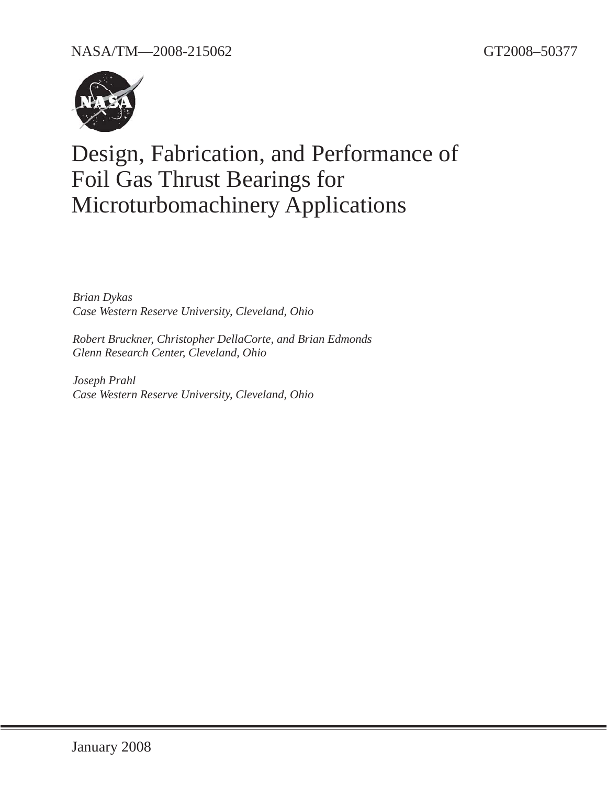

# Design, Fabrication, and Performance of Foil Gas Thrust Bearings for Microturbomachinery Applications

*Brian Dykas Case Western Reserve University, Cleveland, Ohio*

*Robert Bruckner, Christopher DellaCorte, and Brian Edmonds Glenn Research Center, Cleveland, Ohio*

*Joseph Prahl Case Western Reserve University, Cleveland, Ohio*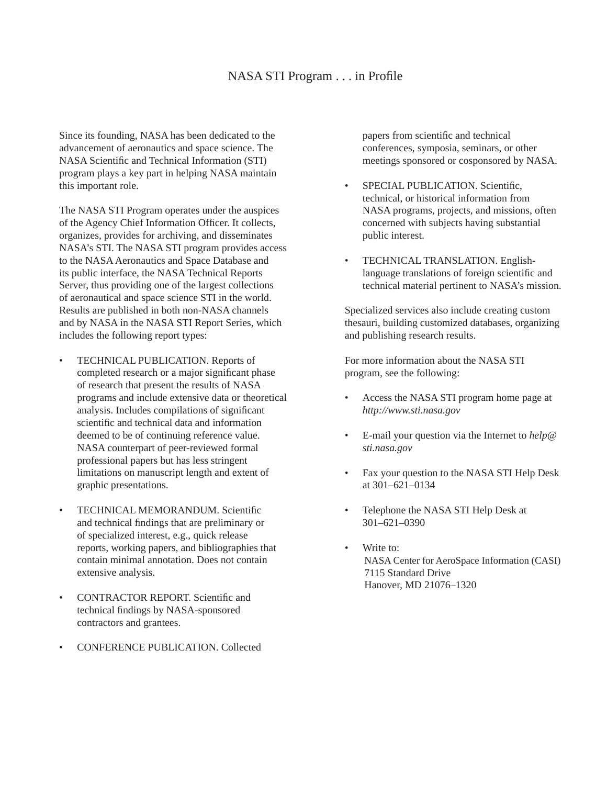### NASA STI Program . . . in Profile

Since its founding, NASA has been dedicated to the advancement of aeronautics and space science. The NASA Scientific and Technical Information (STI) program plays a key part in helping NASA maintain this important role.

The NASA STI Program operates under the auspices of the Agency Chief Information Officer. It collects, organizes, provides for archiving, and disseminates NASA's STI. The NASA STI program provides access to the NASA Aeronautics and Space Database and its public interface, the NASA Technical Reports Server, thus providing one of the largest collections of aeronautical and space science STI in the world. Results are published in both non-NASA channels and by NASA in the NASA STI Report Series, which includes the following report types:

- TECHNICAL PUBLICATION. Reports of completed research or a major significant phase of research that present the results of NASA programs and include extensive data or theoretical analysis. Includes compilations of significant scientific and technical data and information deemed to be of continuing reference value. NASA counterpart of peer-reviewed formal professional papers but has less stringent limitations on manuscript length and extent of graphic presentations.
- TECHNICAL MEMORANDUM. Scientific and technical findings that are preliminary or of specialized interest, e.g., quick release reports, working papers, and bibliographies that contain minimal annotation. Does not contain extensive analysis.
- CONTRACTOR REPORT. Scientific and technical findings by NASA-sponsored contractors and grantees.
- CONFERENCE PUBLICATION. Collected

papers from scientific and technical conferences, symposia, seminars, or other meetings sponsored or cosponsored by NASA.

- SPECIAL PUBLICATION, Scientific, technical, or historical information from NASA programs, projects, and missions, often concerned with subjects having substantial public interest.
- TECHNICAL TRANSLATION. Englishlanguage translations of foreign scientific and technical material pertinent to NASA's mission.

Specialized services also include creating custom thesauri, building customized databases, organizing and publishing research results.

For more information about the NASA STI program, see the following:

- Access the NASA STI program home page at *http://www.sti.nasa.gov*
- E-mail your question via the Internet to *help@ sti.nasa.gov*
- Fax your question to the NASA STI Help Desk at 301–621–0134
- Telephone the NASA STI Help Desk at 301–621–0390
- Write to: NASA Center for AeroSpace Information (CASI) 7115 Standard Drive Hanover, MD 21076–1320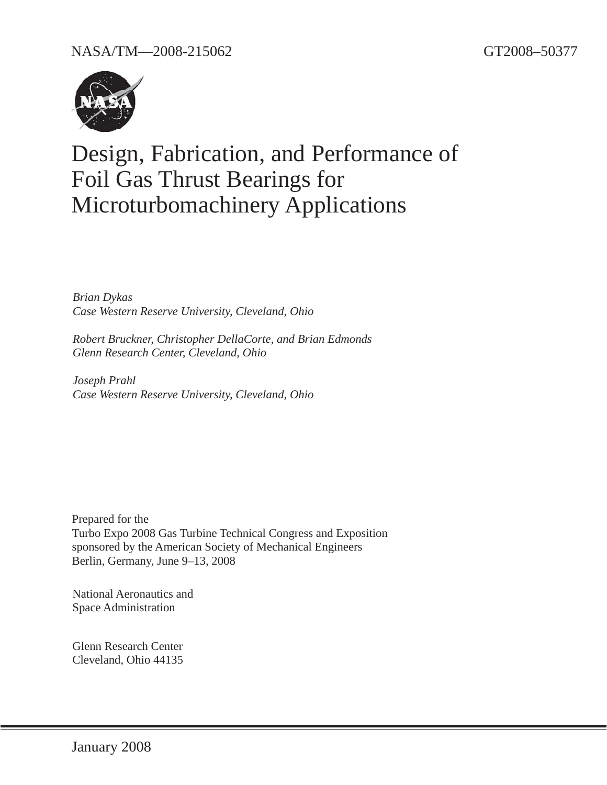

# Design, Fabrication, and Performance of Foil Gas Thrust Bearings for Microturbomachinery Applications

*Brian Dykas Case Western Reserve University, Cleveland, Ohio*

*Robert Bruckner, Christopher DellaCorte, and Brian Edmonds Glenn Research Center, Cleveland, Ohio*

*Joseph Prahl Case Western Reserve University, Cleveland, Ohio*

Prepared for the Turbo Expo 2008 Gas Turbine Technical Congress and Exposition sponsored by the American Society of Mechanical Engineers Berlin, Germany, June 9–13, 2008

National Aeronautics and Space Administration

Glenn Research Center Cleveland, Ohio 44135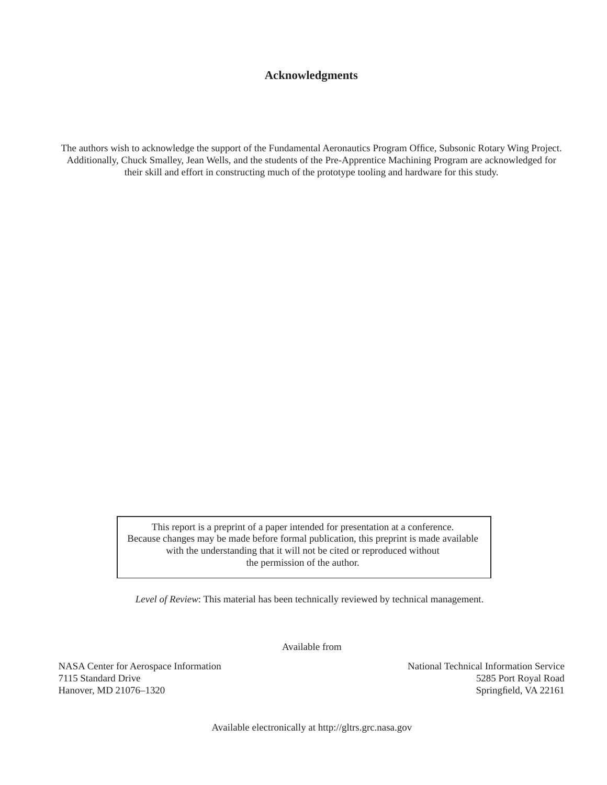### **Acknowledgments**

The authors wish to acknowledge the support of the Fundamental Aeronautics Program Office, Subsonic Rotary Wing Project. Additionally, Chuck Smalley, Jean Wells, and the students of the Pre-Apprentice Machining Program are acknowledged for their skill and effort in constructing much of the prototype tooling and hardware for this study.

> This report is a preprint of a paper intended for presentation at a conference. Because changes may be made before formal publication, this preprint is made available with the understanding that it will not be cited or reproduced without the permission of the author.

*Level of Review*: This material has been technically reviewed by technical management.

Available from

NASA Center for Aerospace Information 7115 Standard Drive Hanover, MD 21076–1320

National Technical Information Service 5285 Port Royal Road Springfield, VA 22161

Available electronically at http://gltrs.grc.nasa.gov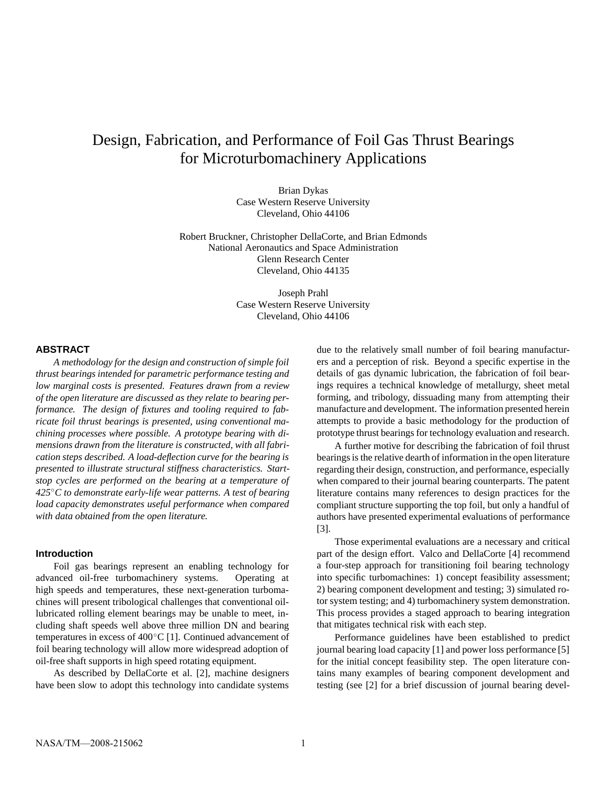## Design, Fabrication, and Performance of Foil Gas Thrust Bearings for Microturbomachinery Applications

Brian Dykas Case Western Reserve University Cleveland, Ohio 44106

Robert Bruckner, Christopher DellaCorte, and Brian Edmonds National Aeronautics and Space Administration Glenn Research Center Cleveland, Ohio 44135

> Joseph Prahl Case Western Reserve University Cleveland, Ohio 44106

#### **ABSTRACT**

*A methodology for the design and construction of simple foil thrust bearings intended for parametric performance testing and low marginal costs is presented. Features drawn from a review of the open literature are discussed as they relate to bearing performance. The design of fixtures and tooling required to fabricate foil thrust bearings is presented, using conventional machining processes where possible. A prototype bearing with dimensions drawn from the literature is constructed, with all fabrication steps described. A load-deflection curve for the bearing is presented to illustrate structural stiffness characteristics. Startstop cycles are performed on the bearing at a temperature of 425*◦*C to demonstrate early-life wear patterns. A test of bearing load capacity demonstrates useful performance when compared with data obtained from the open literature.*

#### **Introduction**

Foil gas bearings represent an enabling technology for advanced oil-free turbomachinery systems. Operating at high speeds and temperatures, these next-generation turbomachines will present tribological challenges that conventional oillubricated rolling element bearings may be unable to meet, including shaft speeds well above three million DN and bearing temperatures in excess of 400◦C [1]. Continued advancement of foil bearing technology will allow more widespread adoption of oil-free shaft supports in high speed rotating equipment.

As described by DellaCorte et al. [2], machine designers have been slow to adopt this technology into candidate systems

due to the relatively small number of foil bearing manufacturers and a perception of risk. Beyond a specific expertise in the details of gas dynamic lubrication, the fabrication of foil bearings requires a technical knowledge of metallurgy, sheet metal forming, and tribology, dissuading many from attempting their manufacture and development. The information presented herein attempts to provide a basic methodology for the production of prototype thrust bearings for technology evaluation and research.

A further motive for describing the fabrication of foil thrust bearings is the relative dearth of information in the open literature regarding their design, construction, and performance, especially when compared to their journal bearing counterparts. The patent literature contains many references to design practices for the compliant structure supporting the top foil, but only a handful of authors have presented experimental evaluations of performance [3].

Those experimental evaluations are a necessary and critical part of the design effort. Valco and DellaCorte [4] recommend a four-step approach for transitioning foil bearing technology into specific turbomachines: 1) concept feasibility assessment; 2) bearing component development and testing; 3) simulated rotor system testing; and 4) turbomachinery system demonstration. This process provides a staged approach to bearing integration that mitigates technical risk with each step.

Performance guidelines have been established to predict journal bearing load capacity [1] and power loss performance [5] for the initial concept feasibility step. The open literature contains many examples of bearing component development and testing (see [2] for a brief discussion of journal bearing devel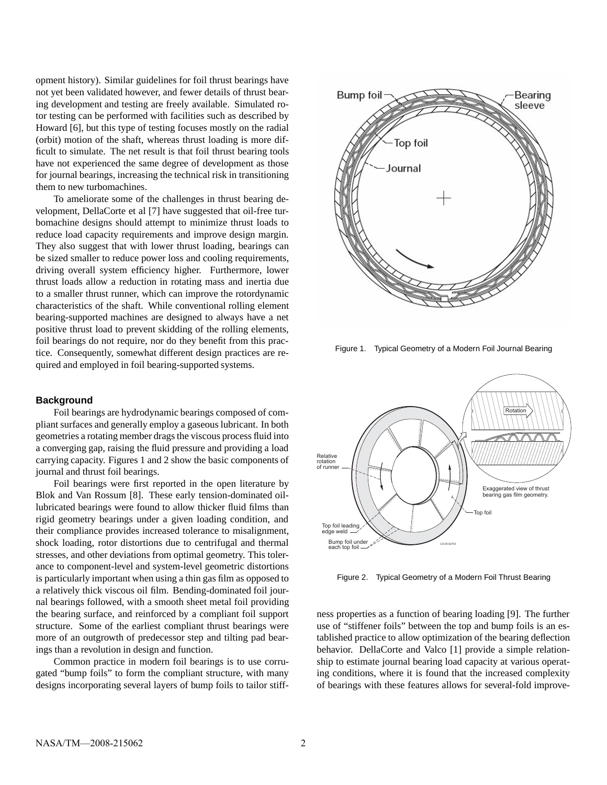opment history). Similar guidelines for foil thrust bearings have not yet been validated however, and fewer details of thrust bearing development and testing are freely available. Simulated rotor testing can be performed with facilities such as described by Howard [6], but this type of testing focuses mostly on the radial (orbit) motion of the shaft, whereas thrust loading is more difficult to simulate. The net result is that foil thrust bearing tools have not experienced the same degree of development as those for journal bearings, increasing the technical risk in transitioning them to new turbomachines.

To ameliorate some of the challenges in thrust bearing development, DellaCorte et al [7] have suggested that oil-free turbomachine designs should attempt to minimize thrust loads to reduce load capacity requirements and improve design margin. They also suggest that with lower thrust loading, bearings can be sized smaller to reduce power loss and cooling requirements, driving overall system efficiency higher. Furthermore, lower thrust loads allow a reduction in rotating mass and inertia due to a smaller thrust runner, which can improve the rotordynamic characteristics of the shaft. While conventional rolling element bearing-supported machines are designed to always have a net positive thrust load to prevent skidding of the rolling elements, foil bearings do not require, nor do they benefit from this practice. Consequently, somewhat different design practices are required and employed in foil bearing-supported systems.

#### **Background**

Foil bearings are hydrodynamic bearings composed of compliant surfaces and generally employ a gaseous lubricant. In both geometries a rotating member drags the viscous process fluid into a converging gap, raising the fluid pressure and providing a load carrying capacity. Figures 1 and 2 show the basic components of journal and thrust foil bearings.

Foil bearings were first reported in the open literature by Blok and Van Rossum [8]. These early tension-dominated oillubricated bearings were found to allow thicker fluid films than rigid geometry bearings under a given loading condition, and their compliance provides increased tolerance to misalignment, shock loading, rotor distortions due to centrifugal and thermal stresses, and other deviations from optimal geometry. This tolerance to component-level and system-level geometric distortions is particularly important when using a thin gas film as opposed to a relatively thick viscous oil film. Bending-dominated foil journal bearings followed, with a smooth sheet metal foil providing the bearing surface, and reinforced by a compliant foil support structure. Some of the earliest compliant thrust bearings were more of an outgrowth of predecessor step and tilting pad bearings than a revolution in design and function.

Common practice in modern foil bearings is to use corrugated "bump foils" to form the compliant structure, with many designs incorporating several layers of bump foils to tailor stiff-



Figure 1. Typical Geometry of a Modern Foil Journal Bearing



Figure 2. Typical Geometry of a Modern Foil Thrust Bearing

ness properties as a function of bearing loading [9]. The further use of "stiffener foils" between the top and bump foils is an established practice to allow optimization of the bearing deflection behavior. DellaCorte and Valco [1] provide a simple relationship to estimate journal bearing load capacity at various operating conditions, where it is found that the increased complexity of bearings with these features allows for several-fold improve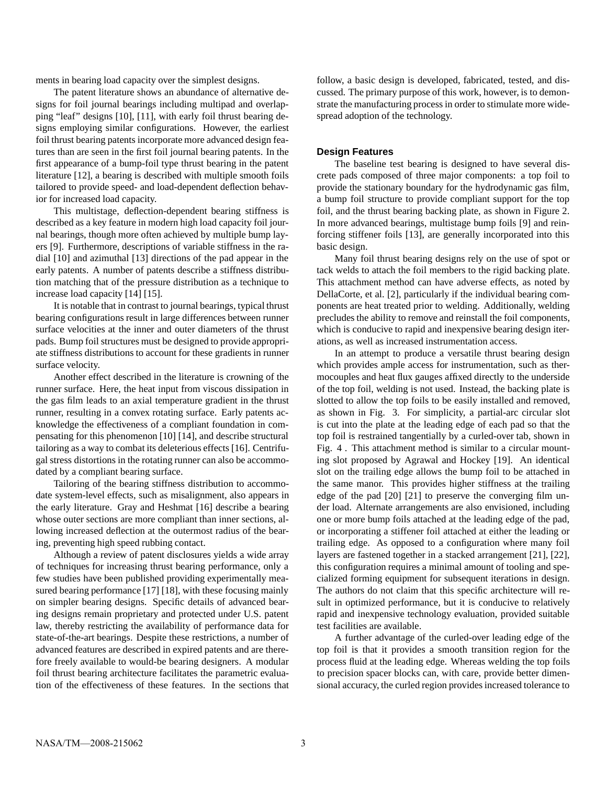ments in bearing load capacity over the simplest designs.

The patent literature shows an abundance of alternative designs for foil journal bearings including multipad and overlapping "leaf" designs [10], [11], with early foil thrust bearing designs employing similar configurations. However, the earliest foil thrust bearing patents incorporate more advanced design features than are seen in the first foil journal bearing patents. In the first appearance of a bump-foil type thrust bearing in the patent literature [12], a bearing is described with multiple smooth foils tailored to provide speed- and load-dependent deflection behavior for increased load capacity.

This multistage, deflection-dependent bearing stiffness is described as a key feature in modern high load capacity foil journal bearings, though more often achieved by multiple bump layers [9]. Furthermore, descriptions of variable stiffness in the radial [10] and azimuthal [13] directions of the pad appear in the early patents. A number of patents describe a stiffness distribution matching that of the pressure distribution as a technique to increase load capacity [14] [15].

It is notable that in contrast to journal bearings, typical thrust bearing configurations result in large differences between runner surface velocities at the inner and outer diameters of the thrust pads. Bump foil structures must be designed to provide appropriate stiffness distributions to account for these gradients in runner surface velocity.

Another effect described in the literature is crowning of the runner surface. Here, the heat input from viscous dissipation in the gas film leads to an axial temperature gradient in the thrust runner, resulting in a convex rotating surface. Early patents acknowledge the effectiveness of a compliant foundation in compensating for this phenomenon [10] [14], and describe structural tailoring as a way to combat its deleterious effects [16]. Centrifugal stress distortions in the rotating runner can also be accommodated by a compliant bearing surface.

Tailoring of the bearing stiffness distribution to accommodate system-level effects, such as misalignment, also appears in the early literature. Gray and Heshmat [16] describe a bearing whose outer sections are more compliant than inner sections, allowing increased deflection at the outermost radius of the bearing, preventing high speed rubbing contact.

Although a review of patent disclosures yields a wide array of techniques for increasing thrust bearing performance, only a few studies have been published providing experimentally measured bearing performance [17] [18], with these focusing mainly on simpler bearing designs. Specific details of advanced bearing designs remain proprietary and protected under U.S. patent law, thereby restricting the availability of performance data for state-of-the-art bearings. Despite these restrictions, a number of advanced features are described in expired patents and are therefore freely available to would-be bearing designers. A modular foil thrust bearing architecture facilitates the parametric evaluation of the effectiveness of these features. In the sections that follow, a basic design is developed, fabricated, tested, and discussed. The primary purpose of this work, however, is to demonstrate the manufacturing process in order to stimulate more widespread adoption of the technology.

#### **Design Features**

The baseline test bearing is designed to have several discrete pads composed of three major components: a top foil to provide the stationary boundary for the hydrodynamic gas film, a bump foil structure to provide compliant support for the top foil, and the thrust bearing backing plate, as shown in Figure 2. In more advanced bearings, multistage bump foils [9] and reinforcing stiffener foils [13], are generally incorporated into this basic design.

Many foil thrust bearing designs rely on the use of spot or tack welds to attach the foil members to the rigid backing plate. This attachment method can have adverse effects, as noted by DellaCorte, et al. [2], particularly if the individual bearing components are heat treated prior to welding. Additionally, welding precludes the ability to remove and reinstall the foil components, which is conducive to rapid and inexpensive bearing design iterations, as well as increased instrumentation access.

In an attempt to produce a versatile thrust bearing design which provides ample access for instrumentation, such as thermocouples and heat flux gauges affixed directly to the underside of the top foil, welding is not used. Instead, the backing plate is slotted to allow the top foils to be easily installed and removed, as shown in Fig. 3. For simplicity, a partial-arc circular slot is cut into the plate at the leading edge of each pad so that the top foil is restrained tangentially by a curled-over tab, shown in Fig. 4 . This attachment method is similar to a circular mounting slot proposed by Agrawal and Hockey [19]. An identical slot on the trailing edge allows the bump foil to be attached in the same manor. This provides higher stiffness at the trailing edge of the pad [20] [21] to preserve the converging film under load. Alternate arrangements are also envisioned, including one or more bump foils attached at the leading edge of the pad, or incorporating a stiffener foil attached at either the leading or trailing edge. As opposed to a configuration where many foil layers are fastened together in a stacked arrangement [21], [22], this configuration requires a minimal amount of tooling and specialized forming equipment for subsequent iterations in design. The authors do not claim that this specific architecture will result in optimized performance, but it is conducive to relatively rapid and inexpensive technology evaluation, provided suitable test facilities are available.

A further advantage of the curled-over leading edge of the top foil is that it provides a smooth transition region for the process fluid at the leading edge. Whereas welding the top foils to precision spacer blocks can, with care, provide better dimensional accuracy, the curled region provides increased tolerance to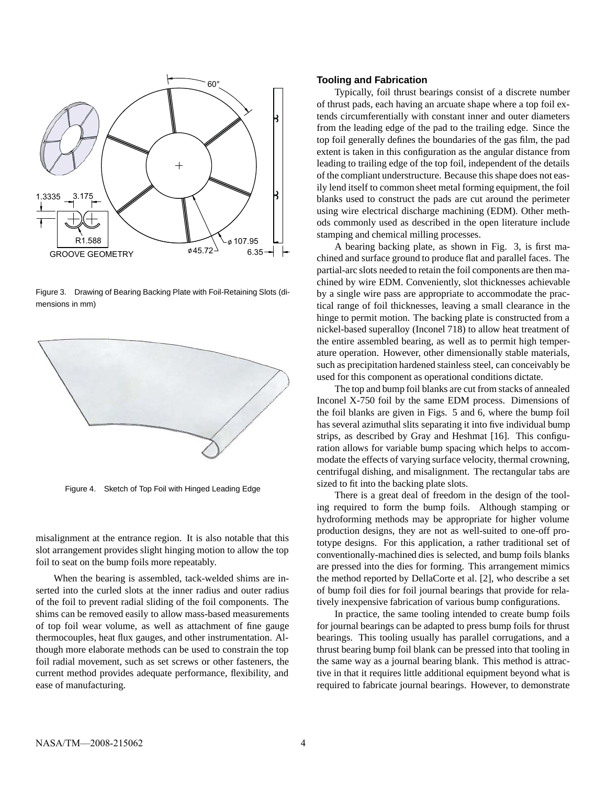

Figure 3. Drawing of Bearing Backing Plate with Foil-Retaining Slots (dimensions in mm)



Figure 4. Sketch of Top Foil with Hinged Leading Edge

misalignment at the entrance region. It is also notable that this slot arrangement provides slight hinging motion to allow the top foil to seat on the bump foils more repeatably.

When the bearing is assembled, tack-welded shims are inserted into the curled slots at the inner radius and outer radius of the foil to prevent radial sliding of the foil components. The shims can be removed easily to allow mass-based measurements of top foil wear volume, as well as attachment of fine gauge thermocouples, heat flux gauges, and other instrumentation. Although more elaborate methods can be used to constrain the top foil radial movement, such as set screws or other fasteners, the current method provides adequate performance, flexibility, and ease of manufacturing.

#### **Tooling and Fabrication**

Typically, foil thrust bearings consist of a discrete number of thrust pads, each having an arcuate shape where a top foil extends circumferentially with constant inner and outer diameters from the leading edge of the pad to the trailing edge. Since the top foil generally defines the boundaries of the gas film, the pad extent is taken in this configuration as the angular distance from leading to trailing edge of the top foil, independent of the details of the compliant understructure. Because this shape does not easily lend itself to common sheet metal forming equipment, the foil blanks used to construct the pads are cut around the perimeter using wire electrical discharge machining (EDM). Other methods commonly used as described in the open literature include stamping and chemical milling processes.

A bearing backing plate, as shown in Fig. 3, is first machined and surface ground to produce flat and parallel faces. The partial-arc slots needed to retain the foil components are then machined by wire EDM. Conveniently, slot thicknesses achievable by a single wire pass are appropriate to accommodate the practical range of foil thicknesses, leaving a small clearance in the hinge to permit motion. The backing plate is constructed from a nickel-based superalloy (Inconel 718) to allow heat treatment of the entire assembled bearing, as well as to permit high temperature operation. However, other dimensionally stable materials, such as precipitation hardened stainless steel, can conceivably be used for this component as operational conditions dictate.

The top and bump foil blanks are cut from stacks of annealed Inconel X-750 foil by the same EDM process. Dimensions of the foil blanks are given in Figs. 5 and 6, where the bump foil has several azimuthal slits separating it into five individual bump strips, as described by Gray and Heshmat [16]. This configuration allows for variable bump spacing which helps to accommodate the effects of varying surface velocity, thermal crowning, centrifugal dishing, and misalignment. The rectangular tabs are sized to fit into the backing plate slots.

There is a great deal of freedom in the design of the tooling required to form the bump foils. Although stamping or hydroforming methods may be appropriate for higher volume production designs, they are not as well-suited to one-off prototype designs. For this application, a rather traditional set of conventionally-machined dies is selected, and bump foils blanks are pressed into the dies for forming. This arrangement mimics the method reported by DellaCorte et al. [2], who describe a set of bump foil dies for foil journal bearings that provide for relatively inexpensive fabrication of various bump configurations.

In practice, the same tooling intended to create bump foils for journal bearings can be adapted to press bump foils for thrust bearings. This tooling usually has parallel corrugations, and a thrust bearing bump foil blank can be pressed into that tooling in the same way as a journal bearing blank. This method is attractive in that it requires little additional equipment beyond what is required to fabricate journal bearings. However, to demonstrate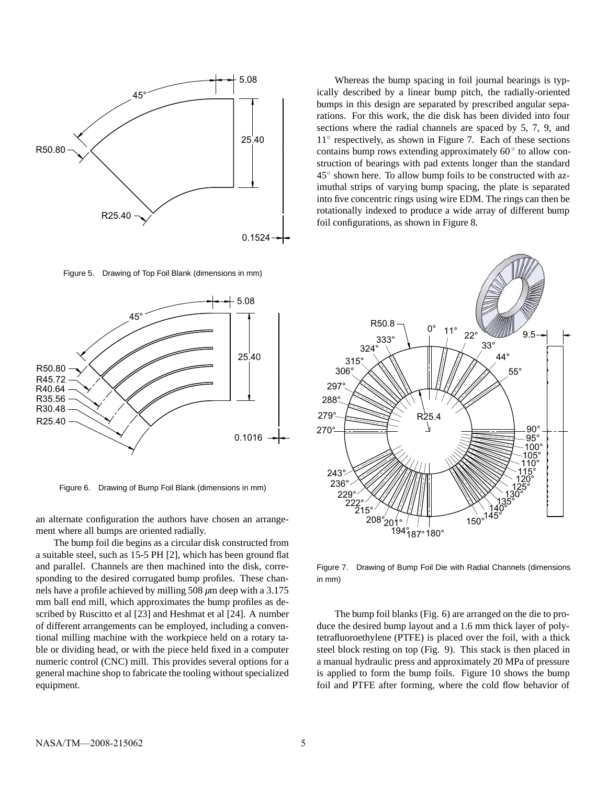

Figure 5. Drawing of Top Foil Blank (dimensions in mm)



Figure 6. Drawing of Bump Foil Blank (dimensions in mm)

an alternate configuration the authors have chosen an arrangement where all bumps are oriented radially.

The bump foil die begins as a circular disk constructed from a suitable steel, such as 15-5 PH [2], which has been ground flat and parallel. Channels are then machined into the disk, corresponding to the desired corrugated bump profiles. These channels have a profile achieved by milling 508 *µ*m deep with a 3.175 mm ball end mill, which approximates the bump profiles as described by Ruscitto et al [23] and Heshmat et al [24]. A number of different arrangements can be employed, including a conventional milling machine with the workpiece held on a rotary table or dividing head, or with the piece held fixed in a computer numeric control (CNC) mill. This provides several options for a general machine shop to fabricate the tooling without specialized equipment.

Whereas the bump spacing in foil journal bearings is typically described by a linear bump pitch, the radially-oriented bumps in this design are separated by prescribed angular separations. For this work, the die disk has been divided into four sections where the radial channels are spaced by 5, 7, 9, and 11◦ respectively, as shown in Figure 7. Each of these sections contains bump rows extending approximately  $60^\circ$  to allow construction of bearings with pad extents longer than the standard 45◦ shown here. To allow bump foils to be constructed with azimuthal strips of varying bump spacing, the plate is separated into five concentric rings using wire EDM. The rings can then be rotationally indexed to produce a wide array of different bump foil configurations, as shown in Figure 8.



Figure 7. Drawing of Bump Foil Die with Radial Channels (dimensions in mm)

The bump foil blanks (Fig. 6) are arranged on the die to produce the desired bump layout and a 1.6 mm thick layer of polytetrafluoroethylene (PTFE) is placed over the foil, with a thick steel block resting on top (Fig. 9). This stack is then placed in a manual hydraulic press and approximately 20 MPa of pressure is applied to form the bump foils. Figure 10 shows the bump foil and PTFE after forming, where the cold flow behavior of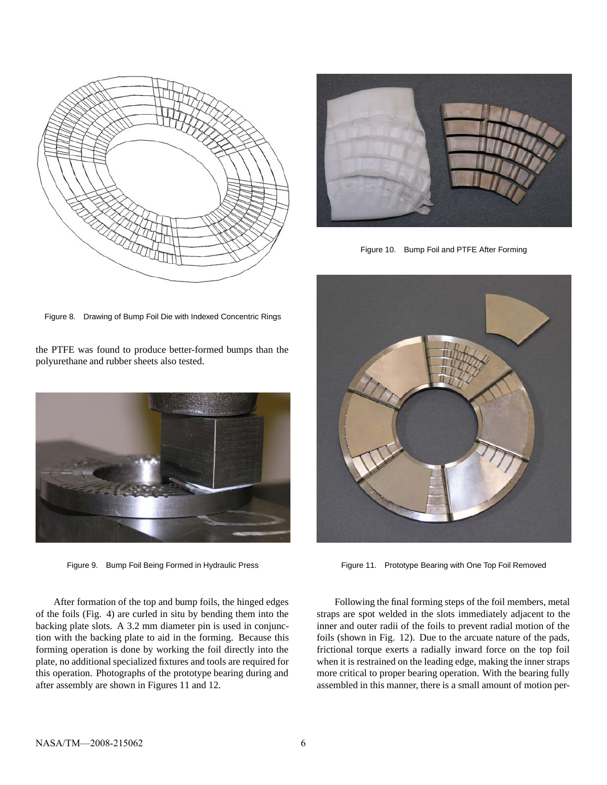



Figure 10. Bump Foil and PTFE After Forming

Figure 8. Drawing of Bump Foil Die with Indexed Concentric Rings

the PTFE was found to produce better-formed bumps than the polyurethane and rubber sheets also tested.



Figure 9. Bump Foil Being Formed in Hydraulic Press

After formation of the top and bump foils, the hinged edges of the foils (Fig. 4) are curled in situ by bending them into the backing plate slots. A 3.2 mm diameter pin is used in conjunction with the backing plate to aid in the forming. Because this forming operation is done by working the foil directly into the plate, no additional specialized fixtures and tools are required for this operation. Photographs of the prototype bearing during and after assembly are shown in Figures 11 and 12.



Figure 11. Prototype Bearing with One Top Foil Removed

Following the final forming steps of the foil members, metal straps are spot welded in the slots immediately adjacent to the inner and outer radii of the foils to prevent radial motion of the foils (shown in Fig. 12). Due to the arcuate nature of the pads, frictional torque exerts a radially inward force on the top foil when it is restrained on the leading edge, making the inner straps more critical to proper bearing operation. With the bearing fully assembled in this manner, there is a small amount of motion per-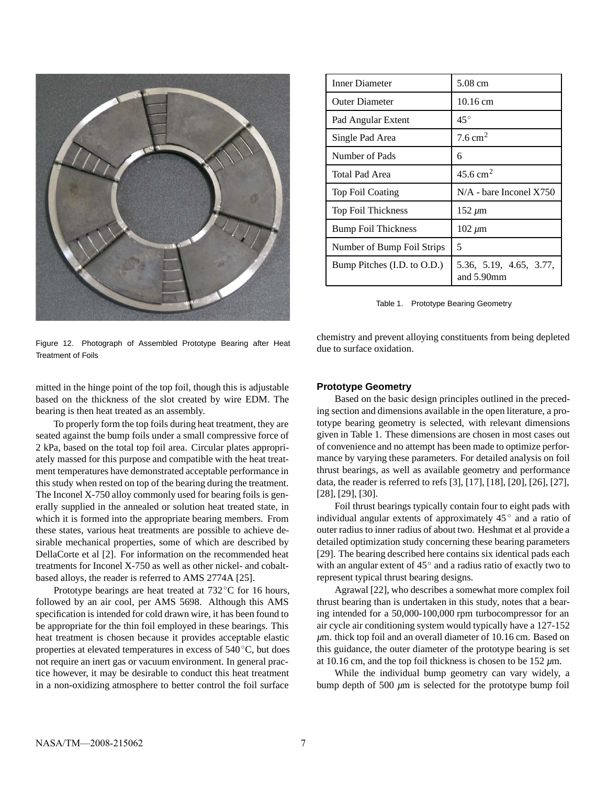

| Inner Diameter              | 5.08 cm                                  |
|-----------------------------|------------------------------------------|
| <b>Outer Diameter</b>       | $10.16 \text{ cm}$                       |
| Pad Angular Extent          | $45^{\circ}$                             |
| Single Pad Area             | $7.6 \text{ cm}^2$                       |
| Number of Pads              | 6                                        |
| Total Pad Area              | 45.6 cm <sup>2</sup>                     |
| <b>Top Foil Coating</b>     | $N/A$ - bare Inconel $X750$              |
| Top Foil Thickness          | $152 \mu m$                              |
| <b>Bump Foil Thickness</b>  | $102 \mu m$                              |
| Number of Bump Foil Strips  | 5                                        |
| Bump Pitches (I.D. to O.D.) | 5.36, 5.19, 4.65, 3.77,<br>and $5.90$ mm |

Table 1. Prototype Bearing Geometry

Figure 12. Photograph of Assembled Prototype Bearing after Heat Treatment of Foils

chemistry and prevent alloying constituents from being depleted due to surface oxidation.

mitted in the hinge point of the top foil, though this is adjustable based on the thickness of the slot created by wire EDM. The bearing is then heat treated as an assembly.

To properly form the top foils during heat treatment, they are seated against the bump foils under a small compressive force of 2 kPa, based on the total top foil area. Circular plates appropriately massed for this purpose and compatible with the heat treatment temperatures have demonstrated acceptable performance in this study when rested on top of the bearing during the treatment. The Inconel X-750 alloy commonly used for bearing foils is generally supplied in the annealed or solution heat treated state, in which it is formed into the appropriate bearing members. From these states, various heat treatments are possible to achieve desirable mechanical properties, some of which are described by DellaCorte et al [2]. For information on the recommended heat treatments for Inconel X-750 as well as other nickel- and cobaltbased alloys, the reader is referred to AMS 2774A [25].

Prototype bearings are heat treated at 732◦C for 16 hours, followed by an air cool, per AMS 5698. Although this AMS specification is intended for cold drawn wire, it has been found to be appropriate for the thin foil employed in these bearings. This heat treatment is chosen because it provides acceptable elastic properties at elevated temperatures in excess of 540◦C, but does not require an inert gas or vacuum environment. In general practice however, it may be desirable to conduct this heat treatment in a non-oxidizing atmosphere to better control the foil surface

#### **Prototype Geometry**

Based on the basic design principles outlined in the preceding section and dimensions available in the open literature, a prototype bearing geometry is selected, with relevant dimensions given in Table 1. These dimensions are chosen in most cases out of convenience and no attempt has been made to optimize performance by varying these parameters. For detailed analysis on foil thrust bearings, as well as available geometry and performance data, the reader is referred to refs [3], [17], [18], [20], [26], [27], [28], [29], [30].

Foil thrust bearings typically contain four to eight pads with individual angular extents of approximately  $45^\circ$  and a ratio of outer radius to inner radius of about two. Heshmat et al provide a detailed optimization study concerning these bearing parameters [29]. The bearing described here contains six identical pads each with an angular extent of 45◦ and a radius ratio of exactly two to represent typical thrust bearing designs.

Agrawal [22], who describes a somewhat more complex foil thrust bearing than is undertaken in this study, notes that a bearing intended for a 50,000-100,000 rpm turbocompressor for an air cycle air conditioning system would typically have a 127-152 *µ*m. thick top foil and an overall diameter of 10.16 cm. Based on this guidance, the outer diameter of the prototype bearing is set at 10.16 cm, and the top foil thickness is chosen to be  $152 \mu m$ .

While the individual bump geometry can vary widely, a bump depth of 500 *µ*m is selected for the prototype bump foil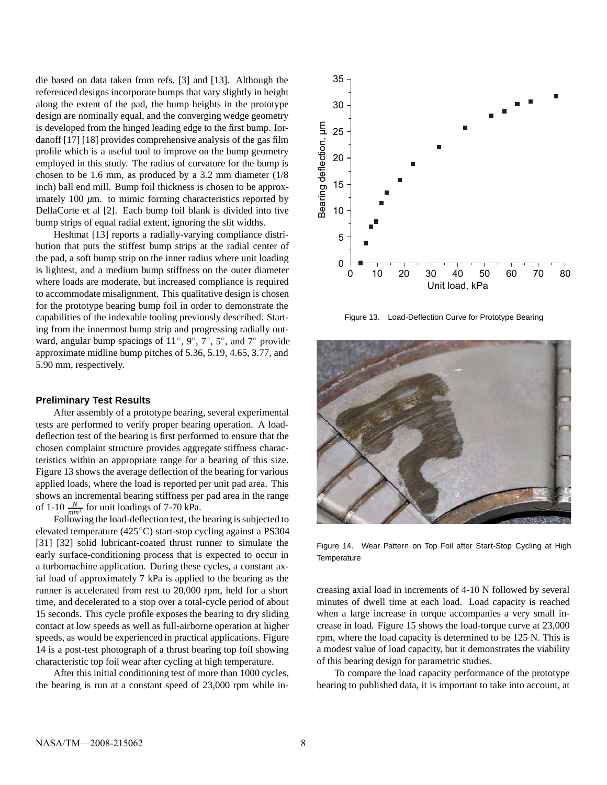die based on data taken from refs. [3] and [13]. Although the referenced designs incorporate bumps that vary slightly in height along the extent of the pad, the bump heights in the prototype design are nominally equal, and the converging wedge geometry is developed from the hinged leading edge to the first bump. Iordanoff [17] [18] provides comprehensive analysis of the gas film profile which is a useful tool to improve on the bump geometry employed in this study. The radius of curvature for the bump is chosen to be 1.6 mm, as produced by a 3.2 mm diameter (1/8 inch) ball end mill. Bump foil thickness is chosen to be approximately 100  $\mu$ m. to mimic forming characteristics reported by DellaCorte et al [2]. Each bump foil blank is divided into five bump strips of equal radial extent, ignoring the slit widths.

Heshmat [13] reports a radially-varying compliance distribution that puts the stiffest bump strips at the radial center of the pad, a soft bump strip on the inner radius where unit loading is lightest, and a medium bump stiffness on the outer diameter where loads are moderate, but increased compliance is required to accommodate misalignment. This qualitative design is chosen for the prototype bearing bump foil in order to demonstrate the capabilities of the indexable tooling previously described. Starting from the innermost bump strip and progressing radially outward, angular bump spacings of 11◦, 9◦, 7◦, 5◦, and 7◦ provide approximate midline bump pitches of 5.36, 5.19, 4.65, 3.77, and 5.90 mm, respectively.

#### **Preliminary Test Results**

After assembly of a prototype bearing, several experimental tests are performed to verify proper bearing operation. A loaddeflection test of the bearing is first performed to ensure that the chosen complaint structure provides aggregate stiffness characteristics within an appropriate range for a bearing of this size. Figure 13 shows the average deflection of the bearing for various applied loads, where the load is reported per unit pad area. This shows an incremental bearing stiffness per pad area in the range of 1-10  $\frac{N}{mm^3}$  for unit loadings of 7-70 kPa.

Following the load-deflection test, the bearing is subjected to elevated temperature (425◦C) start-stop cycling against a PS304 [31] [32] solid lubricant-coated thrust runner to simulate the early surface-conditioning process that is expected to occur in a turbomachine application. During these cycles, a constant axial load of approximately 7 kPa is applied to the bearing as the runner is accelerated from rest to 20,000 rpm, held for a short time, and decelerated to a stop over a total-cycle period of about 15 seconds. This cycle profile exposes the bearing to dry sliding contact at low speeds as well as full-airborne operation at higher speeds, as would be experienced in practical applications. Figure 14 is a post-test photograph of a thrust bearing top foil showing characteristic top foil wear after cycling at high temperature.

After this initial conditioning test of more than 1000 cycles, the bearing is run at a constant speed of 23,000 rpm while in-



Figure 13. Load-Deflection Curve for Prototype Bearing



Figure 14. Wear Pattern on Top Foil after Start-Stop Cycling at High **Temperature** 

creasing axial load in increments of 4-10 N followed by several minutes of dwell time at each load. Load capacity is reached when a large increase in torque accompanies a very small increase in load. Figure 15 shows the load-torque curve at 23,000 rpm, where the load capacity is determined to be 125 N. This is a modest value of load capacity, but it demonstrates the viability of this bearing design for parametric studies.

To compare the load capacity performance of the prototype bearing to published data, it is important to take into account, at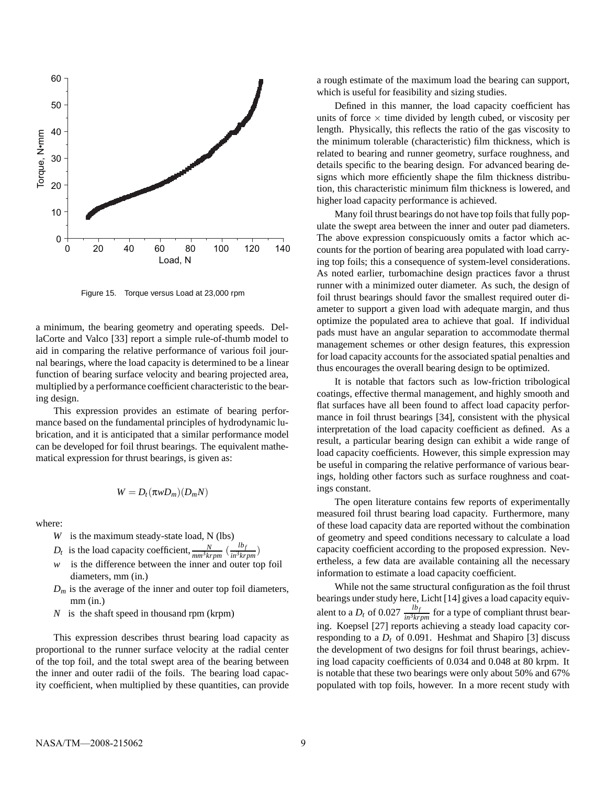

Figure 15. Torque versus Load at 23,000 rpm

a minimum, the bearing geometry and operating speeds. DellaCorte and Valco [33] report a simple rule-of-thumb model to aid in comparing the relative performance of various foil journal bearings, where the load capacity is determined to be a linear function of bearing surface velocity and bearing projected area, multiplied by a performance coefficient characteristic to the bearing design.

This expression provides an estimate of bearing performance based on the fundamental principles of hydrodynamic lubrication, and it is anticipated that a similar performance model can be developed for foil thrust bearings. The equivalent mathematical expression for thrust bearings, is given as:

$$
W=D_t(\pi w D_m)(D_m N)
$$

where:

- *W* is the maximum steady-state load, N (lbs)
- $D_t$  is the load capacity coefficient,  $\frac{N}{mm^3 krpm}$  ( $\frac{lb_f}{in^3 krpm}$ )
- *w* is the difference between the inner and outer top foil diameters, mm (in.)
- $D_m$  is the average of the inner and outer top foil diameters, mm (in.)
- *N* is the shaft speed in thousand rpm (krpm)

This expression describes thrust bearing load capacity as proportional to the runner surface velocity at the radial center of the top foil, and the total swept area of the bearing between the inner and outer radii of the foils. The bearing load capacity coefficient, when multiplied by these quantities, can provide

a rough estimate of the maximum load the bearing can support, which is useful for feasibility and sizing studies.

Defined in this manner, the load capacity coefficient has units of force  $\times$  time divided by length cubed, or viscosity per length. Physically, this reflects the ratio of the gas viscosity to the minimum tolerable (characteristic) film thickness, which is related to bearing and runner geometry, surface roughness, and details specific to the bearing design. For advanced bearing designs which more efficiently shape the film thickness distribution, this characteristic minimum film thickness is lowered, and higher load capacity performance is achieved.

Many foil thrust bearings do not have top foils that fully populate the swept area between the inner and outer pad diameters. The above expression conspicuously omits a factor which accounts for the portion of bearing area populated with load carrying top foils; this a consequence of system-level considerations. As noted earlier, turbomachine design practices favor a thrust runner with a minimized outer diameter. As such, the design of foil thrust bearings should favor the smallest required outer diameter to support a given load with adequate margin, and thus optimize the populated area to achieve that goal. If individual pads must have an angular separation to accommodate thermal management schemes or other design features, this expression for load capacity accounts for the associated spatial penalties and thus encourages the overall bearing design to be optimized.

It is notable that factors such as low-friction tribological coatings, effective thermal management, and highly smooth and flat surfaces have all been found to affect load capacity performance in foil thrust bearings [34], consistent with the physical interpretation of the load capacity coefficient as defined. As a result, a particular bearing design can exhibit a wide range of load capacity coefficients. However, this simple expression may be useful in comparing the relative performance of various bearings, holding other factors such as surface roughness and coatings constant.

The open literature contains few reports of experimentally measured foil thrust bearing load capacity. Furthermore, many of these load capacity data are reported without the combination of geometry and speed conditions necessary to calculate a load capacity coefficient according to the proposed expression. Nevertheless, a few data are available containing all the necessary information to estimate a load capacity coefficient.

While not the same structural configuration as the foil thrust bearings under study here, Licht [14] gives a load capacity equivalent to a  $D_t$  of 0.027  $\frac{lb_f}{in^3 krpm}$  for a type of compliant thrust bearing. Koepsel [27] reports achieving a steady load capacity corresponding to a  $D_t$  of 0.091. Heshmat and Shapiro [3] discuss the development of two designs for foil thrust bearings, achieving load capacity coefficients of 0.034 and 0.048 at 80 krpm. It is notable that these two bearings were only about 50% and 67% populated with top foils, however. In a more recent study with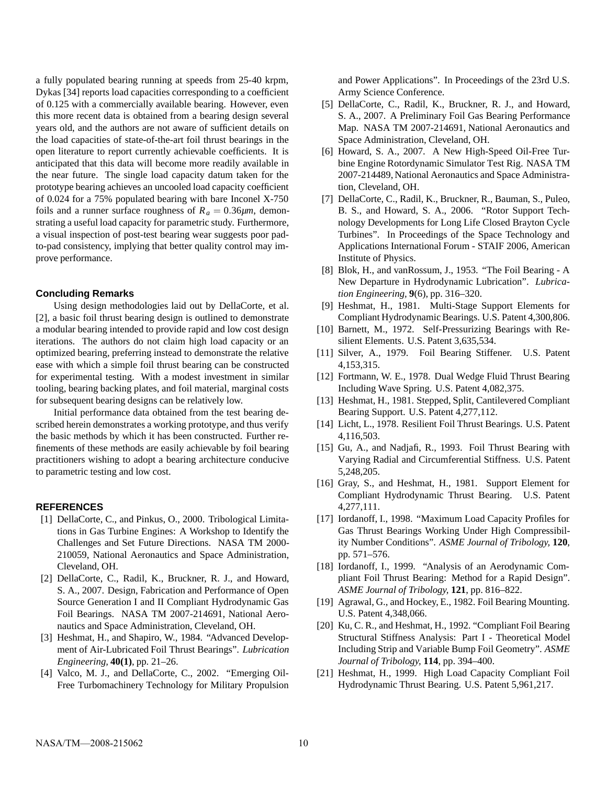a fully populated bearing running at speeds from 25-40 krpm, Dykas [34] reports load capacities corresponding to a coefficient of 0.125 with a commercially available bearing. However, even this more recent data is obtained from a bearing design several years old, and the authors are not aware of sufficient details on the load capacities of state-of-the-art foil thrust bearings in the open literature to report currently achievable coefficients. It is anticipated that this data will become more readily available in the near future. The single load capacity datum taken for the prototype bearing achieves an uncooled load capacity coefficient of 0.024 for a 75% populated bearing with bare Inconel X-750 foils and a runner surface roughness of  $R_a = 0.36 \mu m$ , demonstrating a useful load capacity for parametric study. Furthermore, a visual inspection of post-test bearing wear suggests poor padto-pad consistency, implying that better quality control may improve performance.

#### **Concluding Remarks**

Using design methodologies laid out by DellaCorte, et al. [2], a basic foil thrust bearing design is outlined to demonstrate a modular bearing intended to provide rapid and low cost design iterations. The authors do not claim high load capacity or an optimized bearing, preferring instead to demonstrate the relative ease with which a simple foil thrust bearing can be constructed for experimental testing. With a modest investment in similar tooling, bearing backing plates, and foil material, marginal costs for subsequent bearing designs can be relatively low.

Initial performance data obtained from the test bearing described herein demonstrates a working prototype, and thus verify the basic methods by which it has been constructed. Further refinements of these methods are easily achievable by foil bearing practitioners wishing to adopt a bearing architecture conducive to parametric testing and low cost.

#### **REFERENCES**

- [1] DellaCorte, C., and Pinkus, O., 2000. Tribological Limitations in Gas Turbine Engines: A Workshop to Identify the Challenges and Set Future Directions. NASA TM 2000- 210059, National Aeronautics and Space Administration, Cleveland, OH.
- [2] DellaCorte, C., Radil, K., Bruckner, R. J., and Howard, S. A., 2007. Design, Fabrication and Performance of Open Source Generation I and II Compliant Hydrodynamic Gas Foil Bearings. NASA TM 2007-214691, National Aeronautics and Space Administration, Cleveland, OH.
- [3] Heshmat, H., and Shapiro, W., 1984. "Advanced Development of Air-Lubricated Foil Thrust Bearings". *Lubrication Engineering,* **40(1)**, pp. 21–26.
- [4] Valco, M. J., and DellaCorte, C., 2002. "Emerging Oil-Free Turbomachinery Technology for Military Propulsion

and Power Applications". In Proceedings of the 23rd U.S. Army Science Conference.

- [5] DellaCorte, C., Radil, K., Bruckner, R. J., and Howard, S. A., 2007. A Preliminary Foil Gas Bearing Performance Map. NASA TM 2007-214691, National Aeronautics and Space Administration, Cleveland, OH.
- [6] Howard, S. A., 2007. A New High-Speed Oil-Free Turbine Engine Rotordynamic Simulator Test Rig. NASA TM 2007-214489, National Aeronautics and Space Administration, Cleveland, OH.
- [7] DellaCorte, C., Radil, K., Bruckner, R., Bauman, S., Puleo, B. S., and Howard, S. A., 2006. "Rotor Support Technology Developments for Long Life Closed Brayton Cycle Turbines". In Proceedings of the Space Technology and Applications International Forum - STAIF 2006, American Institute of Physics.
- [8] Blok, H., and vanRossum, J., 1953. "The Foil Bearing A New Departure in Hydrodynamic Lubrication". *Lubrication Engineering,* **9**(6), pp. 316–320.
- [9] Heshmat, H., 1981. Multi-Stage Support Elements for Compliant Hydrodynamic Bearings. U.S. Patent 4,300,806.
- [10] Barnett, M., 1972. Self-Pressurizing Bearings with Resilient Elements. U.S. Patent 3,635,534.
- [11] Silver, A., 1979. Foil Bearing Stiffener. U.S. Patent 4,153,315.
- [12] Fortmann, W. E., 1978. Dual Wedge Fluid Thrust Bearing Including Wave Spring. U.S. Patent 4,082,375.
- [13] Heshmat, H., 1981. Stepped, Split, Cantilevered Compliant Bearing Support. U.S. Patent 4,277,112.
- [14] Licht, L., 1978. Resilient Foil Thrust Bearings. U.S. Patent 4,116,503.
- [15] Gu, A., and Nadjafi, R., 1993. Foil Thrust Bearing with Varying Radial and Circumferential Stiffness. U.S. Patent 5,248,205.
- [16] Gray, S., and Heshmat, H., 1981. Support Element for Compliant Hydrodynamic Thrust Bearing. U.S. Patent 4,277,111.
- [17] Iordanoff, I., 1998. "Maximum Load Capacity Profiles for Gas Thrust Bearings Working Under High Compressibility Number Conditions". *ASME Journal of Tribology,* **120**, pp. 571–576.
- [18] Iordanoff, I., 1999. "Analysis of an Aerodynamic Compliant Foil Thrust Bearing: Method for a Rapid Design". *ASME Journal of Tribology,* **121**, pp. 816–822.
- [19] Agrawal, G., and Hockey, E., 1982. Foil Bearing Mounting. U.S. Patent 4,348,066.
- [20] Ku, C. R., and Heshmat, H., 1992. "Compliant Foil Bearing Structural Stiffness Analysis: Part I - Theoretical Model Including Strip and Variable Bump Foil Geometry". *ASME Journal of Tribology,* **114**, pp. 394–400.
- [21] Heshmat, H., 1999. High Load Capacity Compliant Foil Hydrodynamic Thrust Bearing. U.S. Patent 5,961,217.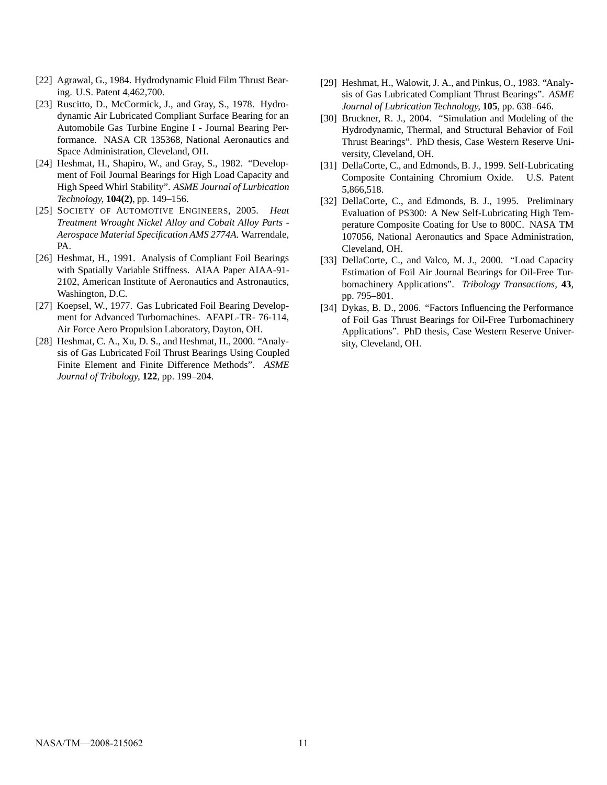- [22] Agrawal, G., 1984. Hydrodynamic Fluid Film Thrust Bearing. U.S. Patent 4,462,700.
- [23] Ruscitto, D., McCormick, J., and Gray, S., 1978. Hydrodynamic Air Lubricated Compliant Surface Bearing for an Automobile Gas Turbine Engine I - Journal Bearing Performance. NASA CR 135368, National Aeronautics and Space Administration, Cleveland, OH.
- [24] Heshmat, H., Shapiro, W., and Gray, S., 1982. "Development of Foil Journal Bearings for High Load Capacity and High Speed Whirl Stability". *ASME Journal of Lurbication Technology,* **104(2)**, pp. 149–156.
- [25] SOCIETY OF AUTOMOTIVE ENGINEERS, 2005. *Heat Treatment Wrought Nickel Alloy and Cobalt Alloy Parts - Aerospace Material Specification AMS 2774A*. Warrendale, PA.
- [26] Heshmat, H., 1991. Analysis of Compliant Foil Bearings with Spatially Variable Stiffness. AIAA Paper AIAA-91- 2102, American Institute of Aeronautics and Astronautics, Washington, D.C.
- [27] Koepsel, W., 1977. Gas Lubricated Foil Bearing Development for Advanced Turbomachines. AFAPL-TR- 76-114, Air Force Aero Propulsion Laboratory, Dayton, OH.
- [28] Heshmat, C. A., Xu, D. S., and Heshmat, H., 2000. "Analysis of Gas Lubricated Foil Thrust Bearings Using Coupled Finite Element and Finite Difference Methods". *ASME Journal of Tribology,* **122**, pp. 199–204.
- [29] Heshmat, H., Walowit, J. A., and Pinkus, O., 1983. "Analysis of Gas Lubricated Compliant Thrust Bearings". *ASME Journal of Lubrication Technology,* **105**, pp. 638–646.
- [30] Bruckner, R. J., 2004. "Simulation and Modeling of the Hydrodynamic, Thermal, and Structural Behavior of Foil Thrust Bearings". PhD thesis, Case Western Reserve University, Cleveland, OH.
- [31] DellaCorte, C., and Edmonds, B. J., 1999. Self-Lubricating Composite Containing Chromium Oxide. U.S. Patent 5,866,518.
- [32] DellaCorte, C., and Edmonds, B. J., 1995. Preliminary Evaluation of PS300: A New Self-Lubricating High Temperature Composite Coating for Use to 800C. NASA TM 107056, National Aeronautics and Space Administration, Cleveland, OH.
- [33] DellaCorte, C., and Valco, M. J., 2000. "Load Capacity Estimation of Foil Air Journal Bearings for Oil-Free Turbomachinery Applications". *Tribology Transactions,* **43**, pp. 795–801.
- [34] Dykas, B. D., 2006. "Factors Influencing the Performance of Foil Gas Thrust Bearings for Oil-Free Turbomachinery Applications". PhD thesis, Case Western Reserve University, Cleveland, OH.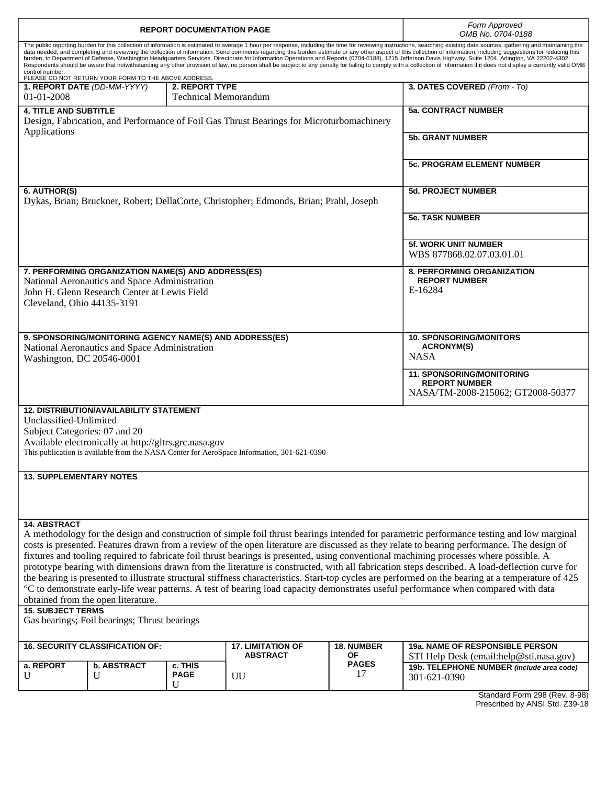| <b>REPORT DOCUMENTATION PAGE</b>                                                                                                                                                                                                                                                                                                                                                                                                                                                                                                                                                                                                                                                                                                                                                                                                                                                                                                                                         |                         |                                               |                                                                                          |                    | Form Approved<br>OMB No. 0704-0188                                                                                             |  |  |
|--------------------------------------------------------------------------------------------------------------------------------------------------------------------------------------------------------------------------------------------------------------------------------------------------------------------------------------------------------------------------------------------------------------------------------------------------------------------------------------------------------------------------------------------------------------------------------------------------------------------------------------------------------------------------------------------------------------------------------------------------------------------------------------------------------------------------------------------------------------------------------------------------------------------------------------------------------------------------|-------------------------|-----------------------------------------------|------------------------------------------------------------------------------------------|--------------------|--------------------------------------------------------------------------------------------------------------------------------|--|--|
| The public reporting burden for this collection of information is estimated to average 1 hour per response, including the time for reviewing instructions, searching existing data sources, gathering and maintaining the<br>data needed, and completing and reviewing the collection of information. Send comments regarding this burden estimate or any other aspect of this collection of information, including suggestions for reducing this<br>burden, to Department of Defense, Washington Headquarters Services, Directorate for Information Operations and Reports (0704-0188), 1215 Jefferson Davis Highway, Suite 1204, Arlington, VA 22202-4302.<br>Respondents should be aware that notwithstanding any other provision of law, no person shall be subject to any penalty for failing to comply with a collection of information if it does not display a currently valid OMB<br>control number.<br>PLEASE DO NOT RETURN YOUR FORM TO THE ABOVE ADDRESS.    |                         |                                               |                                                                                          |                    |                                                                                                                                |  |  |
| 1. REPORT DATE (DD-MM-YYYY)<br>01-01-2008                                                                                                                                                                                                                                                                                                                                                                                                                                                                                                                                                                                                                                                                                                                                                                                                                                                                                                                                |                         | 2. REPORT TYPE<br><b>Technical Memorandum</b> |                                                                                          |                    | 3. DATES COVERED (From - To)                                                                                                   |  |  |
| <b>4. TITLE AND SUBTITLE</b><br>Applications                                                                                                                                                                                                                                                                                                                                                                                                                                                                                                                                                                                                                                                                                                                                                                                                                                                                                                                             |                         |                                               | Design, Fabrication, and Performance of Foil Gas Thrust Bearings for Microturbomachinery |                    | <b>5a. CONTRACT NUMBER</b><br><b>5b. GRANT NUMBER</b>                                                                          |  |  |
|                                                                                                                                                                                                                                                                                                                                                                                                                                                                                                                                                                                                                                                                                                                                                                                                                                                                                                                                                                          |                         |                                               |                                                                                          |                    | <b>5c. PROGRAM ELEMENT NUMBER</b>                                                                                              |  |  |
| 6. AUTHOR(S)                                                                                                                                                                                                                                                                                                                                                                                                                                                                                                                                                                                                                                                                                                                                                                                                                                                                                                                                                             |                         |                                               | Dykas, Brian; Bruckner, Robert; DellaCorte, Christopher; Edmonds, Brian; Prahl, Joseph   |                    | <b>5d. PROJECT NUMBER</b>                                                                                                      |  |  |
|                                                                                                                                                                                                                                                                                                                                                                                                                                                                                                                                                                                                                                                                                                                                                                                                                                                                                                                                                                          |                         |                                               |                                                                                          |                    | <b>5e. TASK NUMBER</b>                                                                                                         |  |  |
|                                                                                                                                                                                                                                                                                                                                                                                                                                                                                                                                                                                                                                                                                                                                                                                                                                                                                                                                                                          |                         |                                               |                                                                                          |                    | 5f. WORK UNIT NUMBER<br>WBS 877868.02.07.03.01.01                                                                              |  |  |
| 7. PERFORMING ORGANIZATION NAME(S) AND ADDRESS(ES)<br>National Aeronautics and Space Administration<br>John H. Glenn Research Center at Lewis Field<br>Cleveland, Ohio 44135-3191                                                                                                                                                                                                                                                                                                                                                                                                                                                                                                                                                                                                                                                                                                                                                                                        |                         |                                               |                                                                                          |                    | 8. PERFORMING ORGANIZATION<br><b>REPORT NUMBER</b><br>E-16284                                                                  |  |  |
| 9. SPONSORING/MONITORING AGENCY NAME(S) AND ADDRESS(ES)<br>National Aeronautics and Space Administration<br>Washington, DC 20546-0001                                                                                                                                                                                                                                                                                                                                                                                                                                                                                                                                                                                                                                                                                                                                                                                                                                    |                         |                                               |                                                                                          |                    | <b>10. SPONSORING/MONITORS</b><br><b>ACRONYM(S)</b><br><b>NASA</b><br><b>11. SPONSORING/MONITORING</b><br><b>REPORT NUMBER</b> |  |  |
|                                                                                                                                                                                                                                                                                                                                                                                                                                                                                                                                                                                                                                                                                                                                                                                                                                                                                                                                                                          |                         |                                               |                                                                                          |                    | NASA/TM-2008-215062; GT2008-50377                                                                                              |  |  |
| <b>12. DISTRIBUTION/AVAILABILITY STATEMENT</b><br>Unclassified-Unlimited<br>Subject Categories: 07 and 20<br>Available electronically at http://gltrs.grc.nasa.gov<br>This publication is available from the NASA Center for AeroSpace Information, 301-621-0390                                                                                                                                                                                                                                                                                                                                                                                                                                                                                                                                                                                                                                                                                                         |                         |                                               |                                                                                          |                    |                                                                                                                                |  |  |
| <b>13. SUPPLEMENTARY NOTES</b>                                                                                                                                                                                                                                                                                                                                                                                                                                                                                                                                                                                                                                                                                                                                                                                                                                                                                                                                           |                         |                                               |                                                                                          |                    |                                                                                                                                |  |  |
|                                                                                                                                                                                                                                                                                                                                                                                                                                                                                                                                                                                                                                                                                                                                                                                                                                                                                                                                                                          |                         |                                               |                                                                                          |                    |                                                                                                                                |  |  |
| <b>14. ABSTRACT</b><br>A methodology for the design and construction of simple foil thrust bearings intended for parametric performance testing and low marginal<br>costs is presented. Features drawn from a review of the open literature are discussed as they relate to bearing performance. The design of<br>fixtures and tooling required to fabricate foil thrust bearings is presented, using conventional machining processes where possible. A<br>prototype bearing with dimensions drawn from the literature is constructed, with all fabrication steps described. A load-deflection curve for<br>the bearing is presented to illustrate structural stiffness characteristics. Start-top cycles are performed on the bearing at a temperature of 425<br>°C to demonstrate early-life wear patterns. A test of bearing load capacity demonstrates useful performance when compared with data<br>obtained from the open literature.<br><b>15. SUBJECT TERMS</b> |                         |                                               |                                                                                          |                    |                                                                                                                                |  |  |
| Gas bearings; Foil bearings; Thrust bearings                                                                                                                                                                                                                                                                                                                                                                                                                                                                                                                                                                                                                                                                                                                                                                                                                                                                                                                             |                         |                                               |                                                                                          |                    |                                                                                                                                |  |  |
| <b>16. SECURITY CLASSIFICATION OF:</b>                                                                                                                                                                                                                                                                                                                                                                                                                                                                                                                                                                                                                                                                                                                                                                                                                                                                                                                                   |                         |                                               | <b>17. LIMITATION OF</b><br><b>ABSTRACT</b>                                              | 18. NUMBER<br>ΟF   | <b>19a. NAME OF RESPONSIBLE PERSON</b><br>STI Help Desk (email:help@sti.nasa.gov)                                              |  |  |
| a. REPORT<br>U                                                                                                                                                                                                                                                                                                                                                                                                                                                                                                                                                                                                                                                                                                                                                                                                                                                                                                                                                           | <b>b. ABSTRACT</b><br>U | c. THIS<br><b>PAGE</b><br>U                   | UU                                                                                       | <b>PAGES</b><br>17 | 19b. TELEPHONE NUMBER (include area code)<br>301-621-0390                                                                      |  |  |
|                                                                                                                                                                                                                                                                                                                                                                                                                                                                                                                                                                                                                                                                                                                                                                                                                                                                                                                                                                          |                         |                                               |                                                                                          |                    | Standard Form 298 (Rev. 8-98)                                                                                                  |  |  |